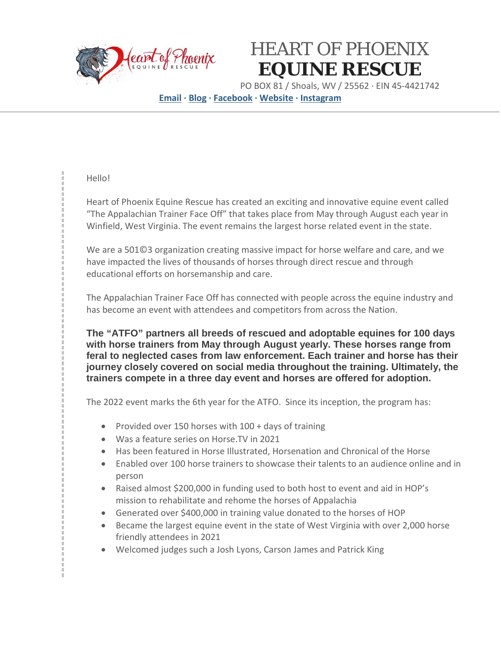

## HEART OF PHOENIX **EQUINE RESCUE**

PO BOX 81 / Shoals, WV / 25562 · EIN 45-4421742

**[Email](mailto:Equinerescue@live.com) · [Blog](https://heartofphoenix.org/) · [Facebook](https://www.facebook.com/HeartofPhoenixEquinerescue/) · [Website](https://wvhorserescue.org/) · [Instagram](https://www.instagram.com/heart_of_phoenix_equine_rescue/?hl=en)**

### Hello!

Heart of Phoenix Equine Rescue has created an exciting and innovative equine event called "The Appalachian Trainer Face Off" that takes place from May through August each year in Winfield, West Virginia. The event remains the largest horse related event in the state.

We are a 501©3 organization creating massive impact for horse welfare and care, and we have impacted the lives of thousands of horses through direct rescue and through educational efforts on horsemanship and care.

The Appalachian Trainer Face Off has connected with people across the equine industry and has become an event with attendees and competitors from across the Nation.

**The "ATFO" partners all breeds of rescued and adoptable equines for 100 days with horse trainers from May through August yearly. These horses range from feral to neglected cases from law enforcement. Each trainer and horse has their journey closely covered on social media throughout the training. Ultimately, the trainers compete in a three day event and horses are offered for adoption.**

The 2022 event marks the 6th year for the ATFO. Since its inception, the program has:

- Provided over 150 horses with 100 + days of training
- Was a feature series on Horse.TV in 2021
- Has been featured in Horse Illustrated, Horsenation and Chronical of the Horse
- Enabled over 100 horse trainers to showcase their talents to an audience online and in person
- Raised almost \$200,000 in funding used to both host to event and aid in HOP's mission to rehabilitate and rehome the horses of Appalachia
- Generated over \$400,000 in training value donated to the horses of HOP
- Became the largest equine event in the state of West Virginia with over 2,000 horse friendly attendees in 2021
- Welcomed judges such a Josh Lyons, Carson James and Patrick King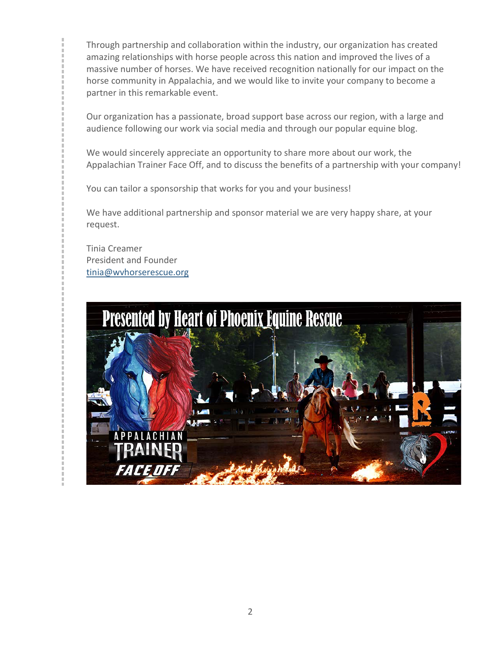Through partnership and collaboration within the industry, our organization has created amazing relationships with horse people across this nation and improved the lives of a massive number of horses. We have received recognition nationally for our impact on the horse community in Appalachia, and we would like to invite your company to become a partner in this remarkable event.

Our organization has a passionate, broad support base across our region, with a large and audience following our work via social media and through our popular equine blog.

We would sincerely appreciate an opportunity to share more about our work, the Appalachian Trainer Face Off, and to discuss the benefits of a partnership with your company!

You can tailor a sponsorship that works for you and your business!

We have additional partnership and sponsor material we are very happy share, at your request.

Tinia Creamer President and Founder [tinia@wvhorserescue.org](mailto:tinia@wvhorserescue.org)

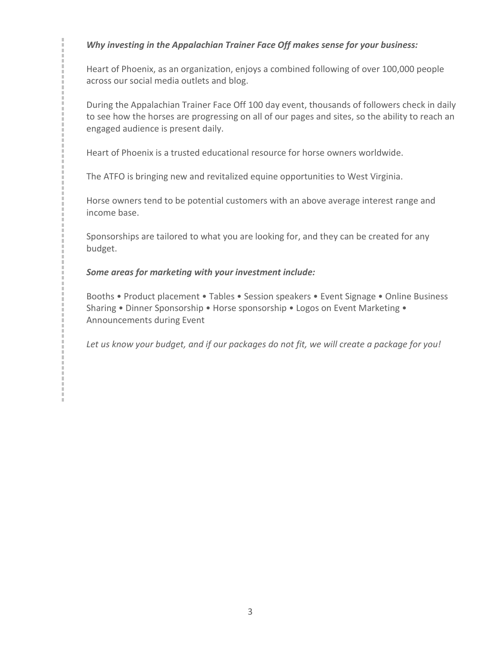### *Why investing in the Appalachian Trainer Face Off makes sense for your business:*

Heart of Phoenix, as an organization, enjoys a combined following of over 100,000 people across our social media outlets and blog.

During the Appalachian Trainer Face Off 100 day event, thousands of followers check in daily to see how the horses are progressing on all of our pages and sites, so the ability to reach an engaged audience is present daily.

Heart of Phoenix is a trusted educational resource for horse owners worldwide.

The ATFO is bringing new and revitalized equine opportunities to West Virginia.

Horse owners tend to be potential customers with an above average interest range and income base.

Sponsorships are tailored to what you are looking for, and they can be created for any budget.

### *Some areas for marketing with your investment include:*

Booths • Product placement • Tables • Session speakers • Event Signage • Online Business Sharing • Dinner Sponsorship • Horse sponsorship • Logos on Event Marketing • Announcements during Event

*Let us know your budget, and if our packages do not fit, we will create a package for you!*